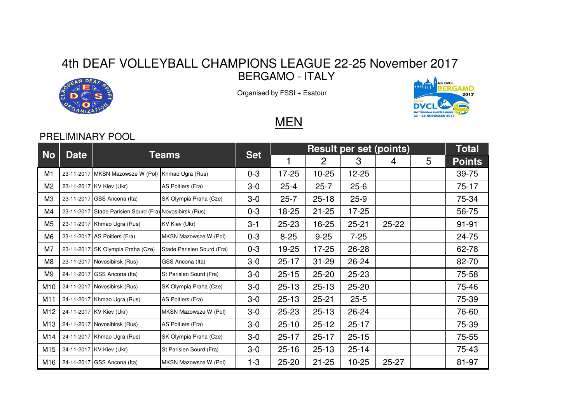## 4th DEAF VOLLEYBALL CHAMPIONS LEAGUE 22-25 November 2017BERGAMO - ITALY



Organised by FSSI + Esatour



## **MEN**

## PRELIMINARY POOL

| No             | <b>Date</b> | Teams                                                   |                            | <b>Set</b> | <b>Result per set (points)</b> |           |           |           |   | <b>Total</b>  |
|----------------|-------------|---------------------------------------------------------|----------------------------|------------|--------------------------------|-----------|-----------|-----------|---|---------------|
|                |             |                                                         |                            |            |                                | 2         | 3         | 4         | 5 | <b>Points</b> |
| M1             |             | 23-11-2017 MKSN Mazowsze W (Pol) Khmao Ugra (Rus)       |                            | $0 - 3$    | $17 - 25$                      | $10 - 25$ | $12 - 25$ |           |   | 39-75         |
| M2             |             | 23-11-2017 KV Kiev (Ukr)                                | AS Poitiers (Fra)          | $3-0$      | $25 - 4$                       | $25 - 7$  | $25 - 6$  |           |   | $75-17$       |
| M <sub>3</sub> |             | 23-11-2017 GSS Ancona (Ita)                             | SK Olympia Praha (Cze)     | $3-0$      | $25 - 7$                       | $25 - 18$ | $25-9$    |           |   | 75-34         |
| M4             |             | 23-11-2017 Stade Parisien Sourd (Fra) Novosibirsk (Rus) |                            | $0 - 3$    | 18-25                          | $21 - 25$ | $17 - 25$ |           |   | 56-75         |
| M5             |             | 23-11-2017 Khmao Ugra (Rus)                             | KV Kiev (Ukr)              | $3 - 1$    | $25 - 23$                      | 16-25     | $25 - 21$ | $25 - 22$ |   | $91 - 91$     |
| M6             |             | 23-11-2017 AS Poitiers (Fra)                            | MKSN Mazowsze W (Pol)      | $0 - 3$    | $8 - 25$                       | $9 - 25$  | $7 - 25$  |           |   | 24-75         |
| M7             |             | 23-11-2017 SK Olympia Praha (Cze)                       | Stade Parisien Sourd (Fra) | $0 - 3$    | 19-25                          | 17-25     | 26-28     |           |   | 62-78         |
| M8             |             | 23-11-2017 Novosibirsk (Rus)                            | GSS Ancona (Ita)           | $3-0$      | $25 - 17$                      | $31 - 29$ | 26-24     |           |   | 82-70         |
| M9             |             | 24-11-2017 GSS Ancona (Ita)                             | St Parisien Sourd (Fra)    | $3-0$      | $25 - 15$                      | $25 - 20$ | $25 - 23$ |           |   | 75-58         |
| M10            |             | 24-11-2017 Novosibirsk (Rus)                            | SK Olympia Praha (Cze)     | $3-0$      | $25 - 13$                      | $25 - 13$ | $25 - 20$ |           |   | 75-46         |
| M11            |             | 24-11-2017 Khmao Ugra (Rus)                             | AS Poitiers (Fra)          | $3-0$      | $25 - 13$                      | $25 - 21$ | $25 - 5$  |           |   | 75-39         |
| M12            |             | 24-11-2017 KV Kiev (Ukr)                                | MKSN Mazowsze W (Pol)      | $3-0$      | $25 - 23$                      | $25 - 13$ | $26 - 24$ |           |   | 76-60         |
| M13            |             | 24-11-2017 Novosibirsk (Rus)                            | AS Poitiers (Fra)          | $3-0$      | $25 - 10$                      | $25 - 12$ | $25 - 17$ |           |   | 75-39         |
| M14            |             | 24-11-2017 Khmao Ugra (Rus)                             | SK Olympia Praha (Cze)     | $3-0$      | $25 - 17$                      | $25 - 17$ | $25 - 15$ |           |   | $75 - 55$     |
| M15            |             | 24-11-2017 KV Kiev (Ukr)                                | St Parisien Sourd (Fra)    | $3-0$      | $25 - 16$                      | $25 - 13$ | $25 - 14$ |           |   | 75-43         |
| M16            |             | 24-11-2017 GSS Ancona (Ita)                             | MKSN Mazowsze W (Pol)      | $1 - 3$    | $25 - 20$                      | $21 - 25$ | $10 - 25$ | $25 - 27$ |   | 81-97         |